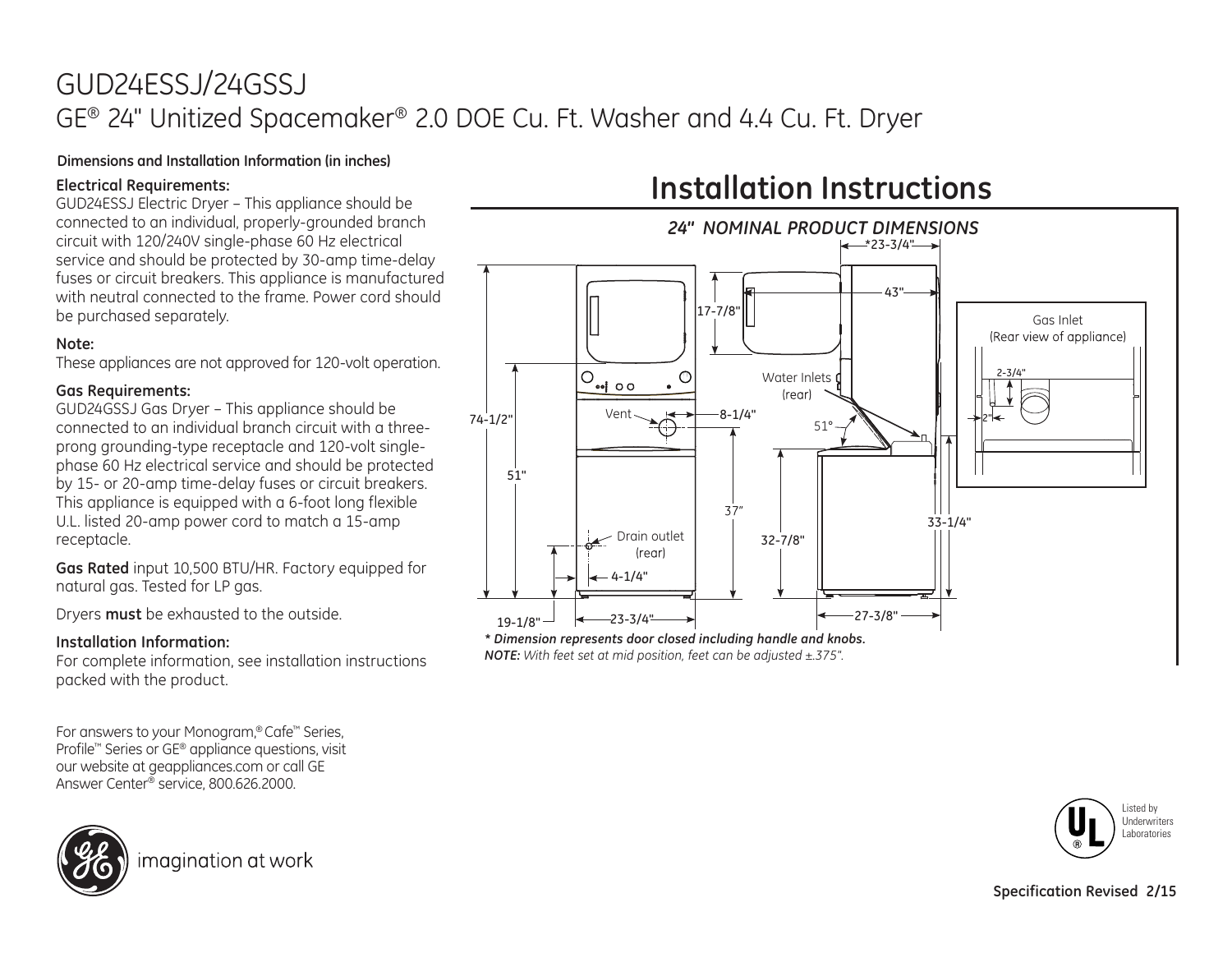## GUD24ESSJ/24GSSJ GE® 24" Unitized Spacemaker® 2.0 DOE Cu. Ft. Washer and 4.4 Cu. Ft. Dryer

## **Dimensions and Installation Information (in inches)**

## **Electrical Requirements:**

GUD24ESSJ Electric Dryer – This appliance should be connected to an individual, properly-grounded branch circuit with 120/240V single-phase 60 Hz electrical service and should be protected by 30-amp time-delay fuses or circuit breakers. This appliance is manufactured with neutral connected to the frame. Power cord should be purchased separately.

## **Note:**

These appliances are not approved for 120-volt operation.

## **Gas Requirements:**

GUD24GSSJ Gas Dryer – This appliance should be connected to an individual branch circuit with a threeprong grounding-type receptacle and 120-volt singlephase 60 Hz electrical service and should be protected by 15- or 20-amp time-delay fuses or circuit breakers. This appliance is equipped with a 6-foot long flexible U.L. listed 20-amp power cord to match a 15-amp receptacle.

**Gas Rated** input 10,500 BTU/HR. Factory equipped for natural gas. Tested for LP aas.

Dryers **must** be exhausted to the outside.

## **Installation Information:**

For complete information, see installation instructions packed with the product.

For answers to your Monogram,® Cafe™ Series, Profile™ Series or GE® appliance questions, visit our website at geappliances.com or call GE Answer Center® service, 800.626.2000.



imagination at work

# **Installation Instructions**



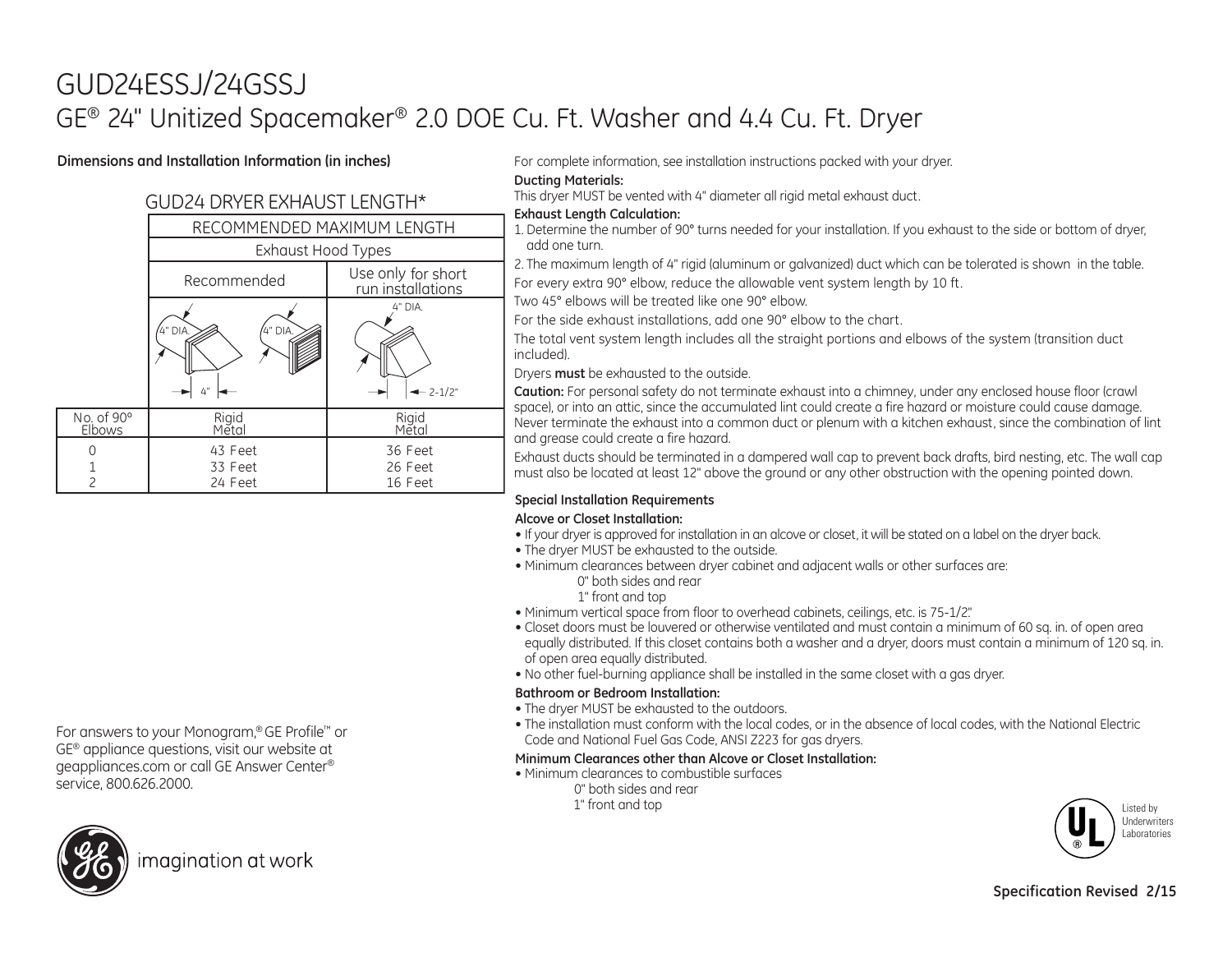## GUD24ESSJ/24GSSJ GE® 24" Unitized Spacemaker® 2.0 DOE Cu. Ft. Washer and 4.4 Cu. Ft. Dryer

## **Dimensions and Installation Information (in inches)**

## GUD24 DRYER EXHAUST LENGTH\*

|                      | RECOMMENDED MAXIMUM LENGTH    |                                         |  |
|----------------------|-------------------------------|-----------------------------------------|--|
|                      | <b>Exhaust Hood Types</b>     |                                         |  |
|                      | Recommended                   | Use only for short<br>run installations |  |
|                      | 4" DIA.<br>4" DIA.<br>4"      | 4" DIA.<br>$-2-1/2"$                    |  |
| No. of 90°<br>Elbows | Rigid<br>Mĕtal                | Rigid<br>Metal                          |  |
|                      | 43 Feet<br>33 Feet<br>24 Feet | 36 Feet<br>26 Feet<br>16 Feet           |  |

For complete information, see installation instructions packed with your dryer.

#### **Ducting Materials:**

This dryer MUST be vented with 4" diameter all rigid metal exhaust duct.

### **Exhaust Length Calculation:**

1. Determine the number of 90° turns needed for your installation. If you exhaust to the side or bottom of dryer, add one turn.

2. The maximum length of 4" rigid (aluminum or galvanized) duct which can be tolerated is shown in the table. For every extra 90° elbow, reduce the allowable vent system length by 10 ft.

Two 45° elbows will be treated like one 90° elbow.

For the side exhaust installations, add one 90° elbow to the chart.

The total vent system length includes all the straight portions and elbows of the system (transition duct included).

Dryers **must** be exhausted to the outside.

**Caution:** For personal safety do not terminate exhaust into a chimney, under any enclosed house floor (crawl space), or into an attic, since the accumulated lint could create a fire hazard or moisture could cause damage. Never terminate the exhaust into a common duct or plenum with a kitchen exhaust, since the combination of lint and grease could create a fire hazard.

Exhaust ducts should be terminated in a dampered wall cap to prevent back drafts, bird nesting, etc. The wall cap must also be located at least 12" above the ground or any other obstruction with the opening pointed down.

## **Special Installation Requirements**

### **Alcove or Closet Installation:**

- If your dryer is approved for installation in an alcove or closet, it will be stated on a label on the dryer back.
- The dryer MUST be exhausted to the outside.
- Minimum clearances between dryer cabinet and adjacent walls or other surfaces are: 0" both sides and rear
	- 1" front and top
- Minimum vertical space from floor to overhead cabinets, ceilings, etc. is 75-1/2."
- Closet doors must be louvered or otherwise ventilated and must contain a minimum of 60 sq. in. of open area equally distributed. If this closet contains both a washer and a dryer, doors must contain a minimum of 120 sq. in. of open area equally distributed.
- No other fuel-burning appliance shall be installed in the same closet with a gas dryer.

### **Bathroom or Bedroom Installation:**

- The dryer MUST be exhausted to the outdoors.
- The installation must conform with the local codes, or in the absence of local codes, with the National Electric Code and National Fuel Gas Code, ANSI Z223 for gas dryers.

### **Minimum Clearances other than Alcove or Closet Installation:**

- Minimum clearances to combustible surfaces
	- 0" both sides and rear
	- 1" front and top





service, 800.626.2000.

For answers to your Monogram,® GE Profile™ or GE® appliance questions, visit our website at geappliances.com or call GE Answer Center®